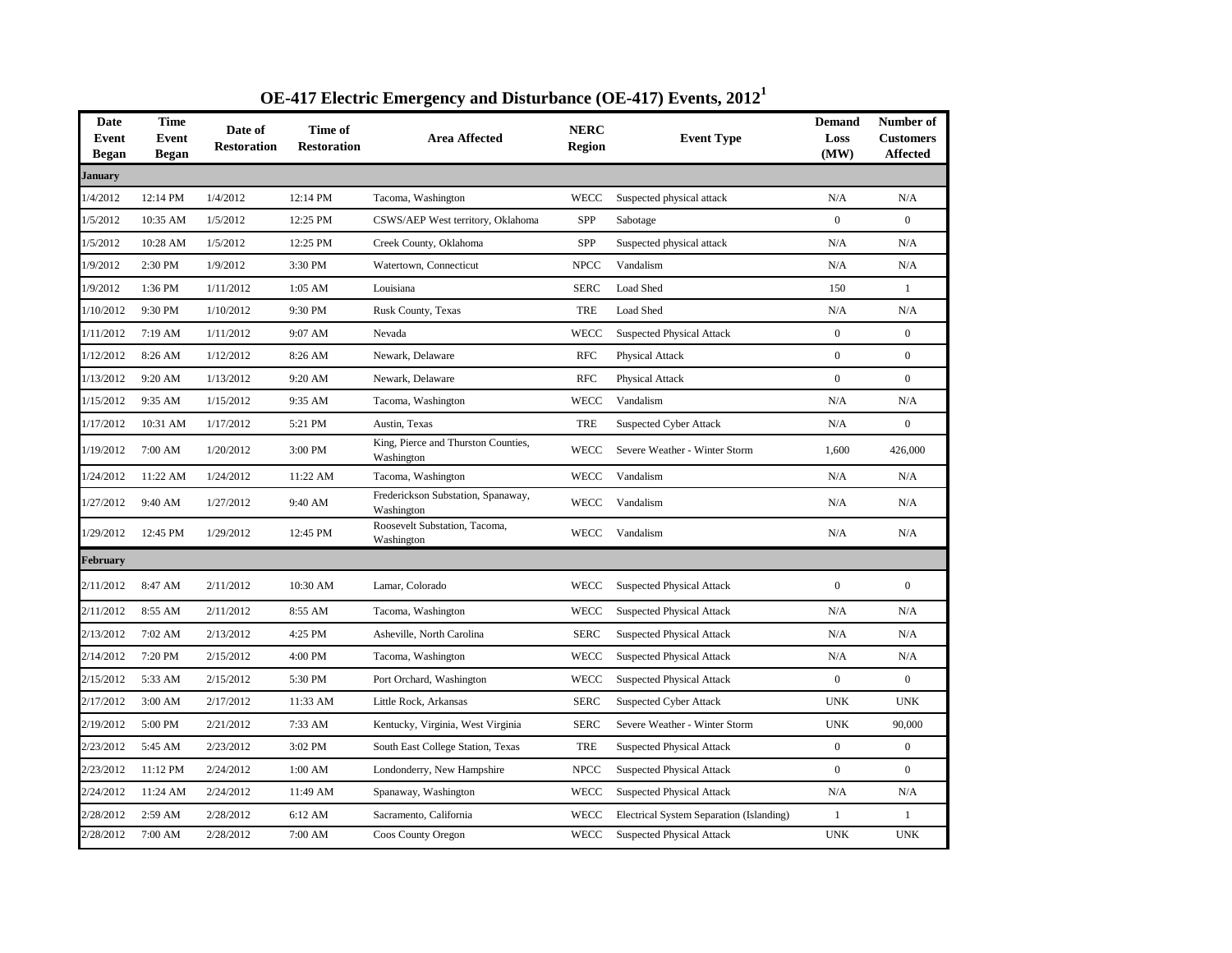| Date<br>Event<br>Began | <b>Time</b><br>Event<br><b>Began</b> | Date of<br><b>Restoration</b> | Time of<br><b>Restoration</b> | <b>Area Affected</b>                              | <b>NERC</b><br><b>Region</b> | <b>Event Type</b>                        | <b>Demand</b><br>Loss<br>(MW) | Number of<br><b>Customers</b><br><b>Affected</b> |
|------------------------|--------------------------------------|-------------------------------|-------------------------------|---------------------------------------------------|------------------------------|------------------------------------------|-------------------------------|--------------------------------------------------|
| January                |                                      |                               |                               |                                                   |                              |                                          |                               |                                                  |
| 1/4/2012               | 12:14 PM                             | 1/4/2012                      | 12:14 PM                      | Tacoma, Washington                                | <b>WECC</b>                  | Suspected physical attack                | N/A                           | N/A                                              |
| 1/5/2012               | 10:35 AM                             | 1/5/2012                      | 12:25 PM                      | CSWS/AEP West territory, Oklahoma                 | SPP                          | Sabotage                                 | $\boldsymbol{0}$              | $\mathbf{0}$                                     |
| 1/5/2012               | 10:28 AM                             | 1/5/2012                      | 12:25 PM                      | Creek County, Oklahoma                            | SPP                          | Suspected physical attack                | N/A                           | N/A                                              |
| 1/9/2012               | 2:30 PM                              | 1/9/2012                      | 3:30 PM                       | Watertown, Connecticut                            | <b>NPCC</b>                  | Vandalism                                | N/A                           | N/A                                              |
| 1/9/2012               | 1:36 PM                              | 1/11/2012                     | 1:05 AM                       | Louisiana                                         | <b>SERC</b>                  | Load Shed                                | 150                           | $\mathbf{1}$                                     |
| 1/10/2012              | 9:30 PM                              | 1/10/2012                     | 9:30 PM                       | Rusk County, Texas                                | TRE                          | Load Shed                                | N/A                           | N/A                                              |
| 1/11/2012              | 7:19 AM                              | 1/11/2012                     | 9:07 AM                       | Nevada                                            | WECC                         | <b>Suspected Physical Attack</b>         | $\boldsymbol{0}$              | $\boldsymbol{0}$                                 |
| 1/12/2012              | 8:26 AM                              | 1/12/2012                     | 8:26 AM                       | Newark, Delaware                                  | <b>RFC</b>                   | Physical Attack                          | $\mathbf{0}$                  | $\mathbf{0}$                                     |
| 1/13/2012              | 9:20 AM                              | 1/13/2012                     | 9:20 AM                       | Newark, Delaware                                  | <b>RFC</b>                   | Physical Attack                          | $\boldsymbol{0}$              | $\boldsymbol{0}$                                 |
| 1/15/2012              | 9:35 AM                              | 1/15/2012                     | 9:35 AM                       | Tacoma, Washington                                | <b>WECC</b>                  | Vandalism                                | N/A                           | N/A                                              |
| 1/17/2012              | 10:31 AM                             | 1/17/2012                     | 5:21 PM                       | Austin, Texas                                     | TRE                          | <b>Suspected Cyber Attack</b>            | N/A                           | $\mathbf{0}$                                     |
| 1/19/2012              | 7:00 AM                              | 1/20/2012                     | 3:00 PM                       | King, Pierce and Thurston Counties,<br>Washington | <b>WECC</b>                  | Severe Weather - Winter Storm            | 1,600                         | 426,000                                          |
| 1/24/2012              | 11:22 AM                             | 1/24/2012                     | 11:22 AM                      | Tacoma, Washington                                | <b>WECC</b>                  | Vandalism                                | N/A                           | N/A                                              |
| 1/27/2012              | 9:40 AM                              | 1/27/2012                     | 9:40 AM                       | Frederickson Substation, Spanaway,<br>Washington  | WECC                         | Vandalism                                | N/A                           | N/A                                              |
| 1/29/2012              | 12:45 PM                             | 1/29/2012                     | 12:45 PM                      | Roosevelt Substation, Tacoma,<br>Washington       | WECC                         | Vandalism                                | N/A                           | N/A                                              |
| <b>February</b>        |                                      |                               |                               |                                                   |                              |                                          |                               |                                                  |
| 2/11/2012              | 8:47 AM                              | 2/11/2012                     | 10:30 AM                      | Lamar, Colorado                                   | WECC                         | <b>Suspected Physical Attack</b>         | $\mathbf{0}$                  | $\boldsymbol{0}$                                 |
| 2/11/2012              | 8:55 AM                              | 2/11/2012                     | 8:55 AM                       | Tacoma, Washington                                | <b>WECC</b>                  | <b>Suspected Physical Attack</b>         | N/A                           | N/A                                              |
| 2/13/2012              | 7:02 AM                              | 2/13/2012                     | 4:25 PM                       | Asheville, North Carolina                         | <b>SERC</b>                  | <b>Suspected Physical Attack</b>         | N/A                           | N/A                                              |
| 2/14/2012              | 7:20 PM                              | 2/15/2012                     | 4:00 PM                       | Tacoma, Washington                                | <b>WECC</b>                  | <b>Suspected Physical Attack</b>         | N/A                           | N/A                                              |
| 2/15/2012              | 5:33 AM                              | 2/15/2012                     | 5:30 PM                       | Port Orchard, Washington                          | <b>WECC</b>                  | <b>Suspected Physical Attack</b>         | $\boldsymbol{0}$              | $\boldsymbol{0}$                                 |
| 2/17/2012              | 3:00 AM                              | 2/17/2012                     | 11:33 AM                      | Little Rock, Arkansas                             | <b>SERC</b>                  | <b>Suspected Cyber Attack</b>            | <b>UNK</b>                    | <b>UNK</b>                                       |
| 2/19/2012              | 5:00 PM                              | 2/21/2012                     | 7:33 AM                       | Kentucky, Virginia, West Virginia                 | <b>SERC</b>                  | Severe Weather - Winter Storm            | <b>UNK</b>                    | 90,000                                           |
| 2/23/2012              | 5:45 AM                              | 2/23/2012                     | 3:02 PM                       | South East College Station, Texas                 | TRE                          | <b>Suspected Physical Attack</b>         | $\boldsymbol{0}$              | $\mathbf{0}$                                     |
| 2/23/2012              | 11:12 PM                             | 2/24/2012                     | 1:00 AM                       | Londonderry, New Hampshire                        | <b>NPCC</b>                  | <b>Suspected Physical Attack</b>         | $\boldsymbol{0}$              | $\Omega$                                         |
| 2/24/2012              | 11:24 AM                             | 2/24/2012                     | 11:49 AM                      | Spanaway, Washington                              | WECC                         | <b>Suspected Physical Attack</b>         | N/A                           | N/A                                              |
| 2/28/2012              | 2:59 AM                              | 2/28/2012                     | 6:12 AM                       | Sacramento, California                            | <b>WECC</b>                  | Electrical System Separation (Islanding) | $\mathbf{1}$                  | $\mathbf{1}$                                     |
| 2/28/2012              | 7:00 AM                              | 2/28/2012                     | 7:00 AM                       | Coos County Oregon                                | WECC                         | <b>Suspected Physical Attack</b>         | <b>UNK</b>                    | <b>UNK</b>                                       |

## **OE-417 Electric Emergency and Disturbance (OE-417) Events, 2012<sup>1</sup>**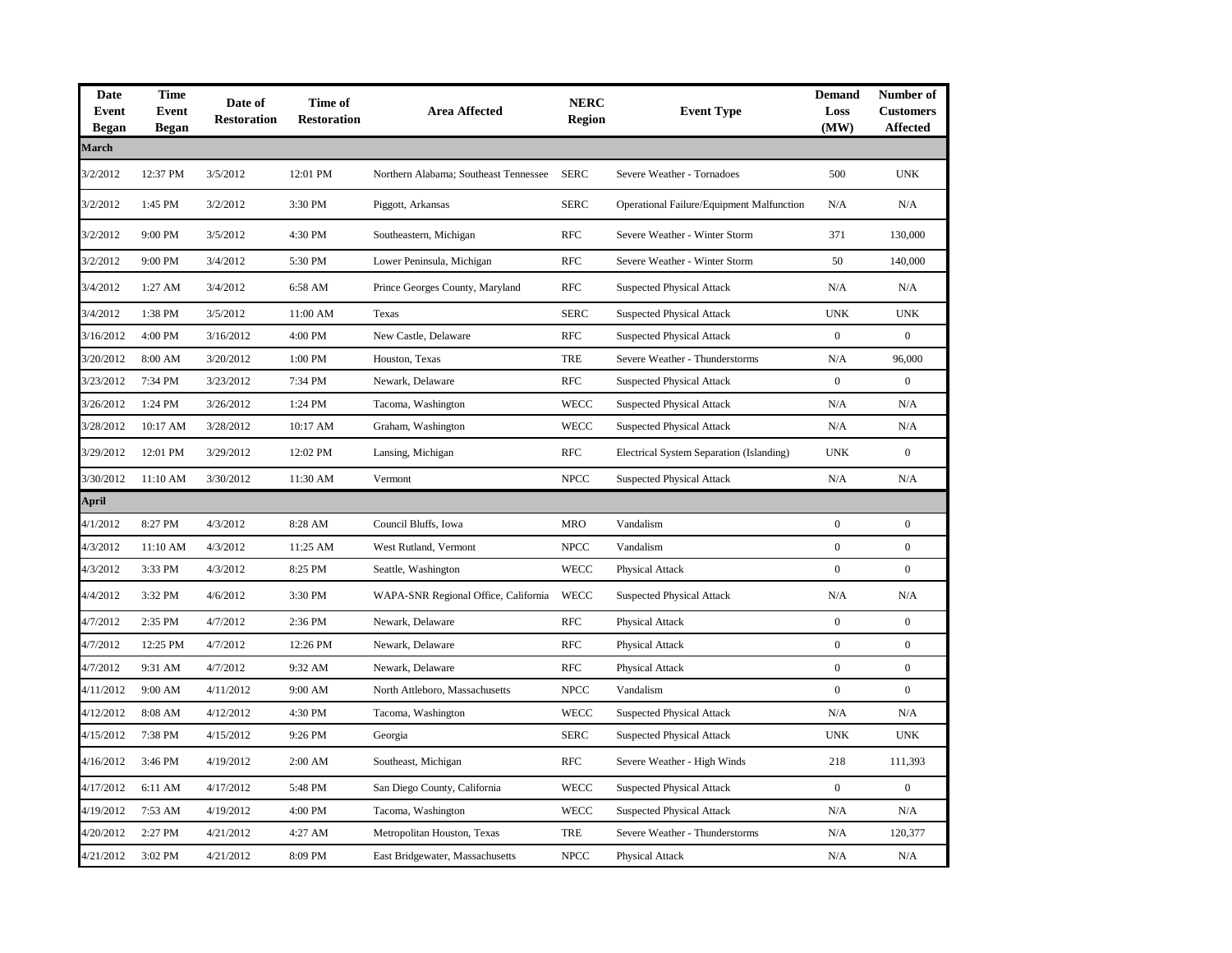| <b>Date</b><br>Event<br><b>Began</b> | <b>Time</b><br><b>Event</b><br><b>Began</b> | Date of<br><b>Restoration</b> | Time of<br><b>Restoration</b> | <b>Area Affected</b>                  | <b>NERC</b><br><b>Region</b> | <b>Event Type</b>                                | <b>Demand</b><br>Loss<br>(MW) | Number of<br><b>Customers</b><br><b>Affected</b> |
|--------------------------------------|---------------------------------------------|-------------------------------|-------------------------------|---------------------------------------|------------------------------|--------------------------------------------------|-------------------------------|--------------------------------------------------|
| March                                |                                             |                               |                               |                                       |                              |                                                  |                               |                                                  |
| 3/2/2012                             | 12:37 PM                                    | 3/5/2012                      | 12:01 PM                      | Northern Alabama; Southeast Tennessee | <b>SERC</b>                  | Severe Weather - Tornadoes                       | 500                           | <b>UNK</b>                                       |
| 3/2/2012                             | 1:45 PM                                     | 3/2/2012                      | 3:30 PM                       | Piggott, Arkansas                     | <b>SERC</b>                  | <b>Operational Failure/Equipment Malfunction</b> | N/A                           | N/A                                              |
| 3/2/2012                             | 9:00 PM                                     | 3/5/2012                      | 4:30 PM                       | Southeastern, Michigan                | <b>RFC</b>                   | Severe Weather - Winter Storm                    | 371                           | 130,000                                          |
| 3/2/2012                             | 9:00 PM                                     | 3/4/2012                      | 5:30 PM                       | Lower Peninsula, Michigan             | <b>RFC</b>                   | Severe Weather - Winter Storm                    | 50                            | 140,000                                          |
| 3/4/2012                             | 1:27 AM                                     | 3/4/2012                      | 6:58 AM                       | Prince Georges County, Maryland       | <b>RFC</b>                   | <b>Suspected Physical Attack</b>                 | N/A                           | N/A                                              |
| 3/4/2012                             | 1:38 PM                                     | 3/5/2012                      | 11:00 AM                      | Texas                                 | <b>SERC</b>                  | <b>Suspected Physical Attack</b>                 | <b>UNK</b>                    | <b>UNK</b>                                       |
| 3/16/2012                            | 4:00 PM                                     | 3/16/2012                     | 4:00 PM                       | New Castle, Delaware                  | <b>RFC</b>                   | <b>Suspected Physical Attack</b>                 | $\mathbf{0}$                  | $\boldsymbol{0}$                                 |
| 3/20/2012                            | 8:00 AM                                     | 3/20/2012                     | 1:00 PM                       | Houston, Texas                        | <b>TRE</b>                   | Severe Weather - Thunderstorms                   | N/A                           | 96,000                                           |
| 3/23/2012                            | 7:34 PM                                     | 3/23/2012                     | 7:34 PM                       | Newark, Delaware                      | <b>RFC</b>                   | <b>Suspected Physical Attack</b>                 | $\boldsymbol{0}$              | $\boldsymbol{0}$                                 |
| 3/26/2012                            | 1:24 PM                                     | 3/26/2012                     | 1:24 PM                       | Tacoma, Washington                    | WECC                         | <b>Suspected Physical Attack</b>                 | N/A                           | N/A                                              |
| 3/28/2012                            | 10:17 AM                                    | 3/28/2012                     | 10:17 AM                      | Graham, Washington                    | <b>WECC</b>                  | <b>Suspected Physical Attack</b>                 | N/A                           | N/A                                              |
| 3/29/2012                            | 12:01 PM                                    | 3/29/2012                     | 12:02 PM                      | Lansing, Michigan                     | <b>RFC</b>                   | Electrical System Separation (Islanding)         | <b>UNK</b>                    | $\boldsymbol{0}$                                 |
| 3/30/2012                            | 11:10 AM                                    | 3/30/2012                     | 11:30 AM                      | Vermont                               | <b>NPCC</b>                  | <b>Suspected Physical Attack</b>                 | N/A                           | N/A                                              |
| April                                |                                             |                               |                               |                                       |                              |                                                  |                               |                                                  |
| 4/1/2012                             | 8:27 PM                                     | 4/3/2012                      | 8:28 AM                       | Council Bluffs, Iowa                  | MRO                          | Vandalism                                        | $\mathbf{0}$                  | $\mathbf{0}$                                     |
| 4/3/2012                             | 11:10 AM                                    | 4/3/2012                      | 11:25 AM                      | West Rutland, Vermont                 | <b>NPCC</b>                  | Vandalism                                        | $\boldsymbol{0}$              | $\boldsymbol{0}$                                 |
| 4/3/2012                             | 3:33 PM                                     | 4/3/2012                      | 8:25 PM                       | Seattle, Washington                   | WECC                         | Physical Attack                                  | $\boldsymbol{0}$              | $\mathbf{0}$                                     |
| 4/4/2012                             | 3:32 PM                                     | 4/6/2012                      | 3:30 PM                       | WAPA-SNR Regional Office, California  | <b>WECC</b>                  | <b>Suspected Physical Attack</b>                 | N/A                           | N/A                                              |
| 4/7/2012                             | 2:35 PM                                     | 4/7/2012                      | 2:36 PM                       | Newark, Delaware                      | <b>RFC</b>                   | Physical Attack                                  | $\boldsymbol{0}$              | $\boldsymbol{0}$                                 |
| 4/7/2012                             | 12:25 PM                                    | 4/7/2012                      | 12:26 PM                      | Newark, Delaware                      | <b>RFC</b>                   | Physical Attack                                  | $\boldsymbol{0}$              | $\boldsymbol{0}$                                 |
| 4/7/2012                             | 9:31 AM                                     | 4/7/2012                      | 9:32 AM                       | Newark, Delaware                      | <b>RFC</b>                   | Physical Attack                                  | $\boldsymbol{0}$              | $\boldsymbol{0}$                                 |
| 4/11/2012                            | 9:00 AM                                     | 4/11/2012                     | 9:00 AM                       | North Attleboro, Massachusetts        | <b>NPCC</b>                  | Vandalism                                        | $\mathbf{0}$                  | $\mathbf{0}$                                     |
| 4/12/2012                            | 8:08 AM                                     | 4/12/2012                     | 4:30 PM                       | Tacoma, Washington                    | WECC                         | <b>Suspected Physical Attack</b>                 | N/A                           | N/A                                              |
| 4/15/2012                            | 7:38 PM                                     | 4/15/2012                     | 9:26 PM                       | Georgia                               | <b>SERC</b>                  | <b>Suspected Physical Attack</b>                 | <b>UNK</b>                    | <b>UNK</b>                                       |
| 4/16/2012                            | 3:46 PM                                     | 4/19/2012                     | 2:00 AM                       | Southeast, Michigan                   | <b>RFC</b>                   | Severe Weather - High Winds                      | 218                           | 111,393                                          |
| 4/17/2012                            | 6:11 AM                                     | 4/17/2012                     | 5:48 PM                       | San Diego County, California          | <b>WECC</b>                  | <b>Suspected Physical Attack</b>                 | $\boldsymbol{0}$              | $\boldsymbol{0}$                                 |
| 4/19/2012                            | 7:53 AM                                     | 4/19/2012                     | 4:00 PM                       | Tacoma, Washington                    | WECC                         | <b>Suspected Physical Attack</b>                 | N/A                           | N/A                                              |
| 4/20/2012                            | 2:27 PM                                     | 4/21/2012                     | 4:27 AM                       | Metropolitan Houston, Texas           | TRE                          | Severe Weather - Thunderstorms                   | N/A                           | 120,377                                          |
| 4/21/2012                            | 3:02 PM                                     | 4/21/2012                     | 8:09 PM                       | East Bridgewater, Massachusetts       | <b>NPCC</b>                  | Physical Attack                                  | N/A                           | N/A                                              |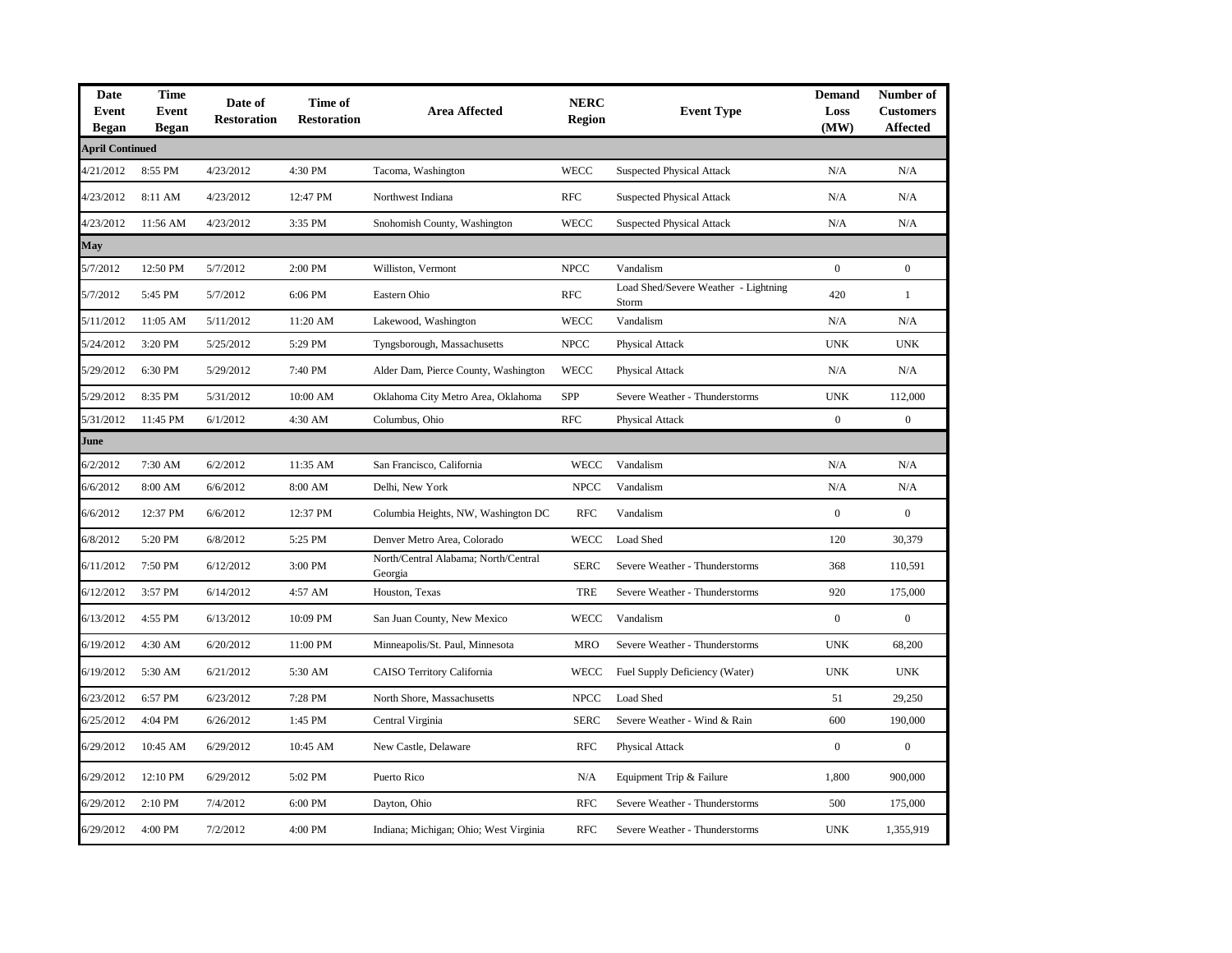| Date<br>Event<br><b>Began</b> | <b>Time</b><br><b>Event</b><br><b>Began</b> | Date of<br><b>Restoration</b> | Time of<br><b>Restoration</b> | <b>Area Affected</b>                            | <b>NERC</b><br><b>Region</b> | <b>Event Type</b>                             | <b>Demand</b><br>Loss<br>(MW) | Number of<br><b>Customers</b><br><b>Affected</b> |
|-------------------------------|---------------------------------------------|-------------------------------|-------------------------------|-------------------------------------------------|------------------------------|-----------------------------------------------|-------------------------------|--------------------------------------------------|
| <b>April Continued</b>        |                                             |                               |                               |                                                 |                              |                                               |                               |                                                  |
| 4/21/2012                     | 8:55 PM                                     | 4/23/2012                     | 4:30 PM                       | Tacoma, Washington                              | <b>WECC</b>                  | <b>Suspected Physical Attack</b>              | N/A                           | $\rm N/A$                                        |
| 4/23/2012                     | 8:11 AM                                     | 4/23/2012                     | 12:47 PM                      | Northwest Indiana                               | <b>RFC</b>                   | <b>Suspected Physical Attack</b>              | N/A                           | N/A                                              |
| 4/23/2012                     | 11:56 AM                                    | 4/23/2012                     | 3:35 PM                       | Snohomish County, Washington                    | <b>WECC</b>                  | <b>Suspected Physical Attack</b>              | N/A                           | N/A                                              |
| May                           |                                             |                               |                               |                                                 |                              |                                               |                               |                                                  |
| 5/7/2012                      | 12:50 PM                                    | 5/7/2012                      | 2:00 PM                       | Williston, Vermont                              | <b>NPCC</b>                  | Vandalism                                     | $\mathbf{0}$                  | $\mathbf{0}$                                     |
| 5/7/2012                      | 5:45 PM                                     | 5/7/2012                      | 6:06 PM                       | Eastern Ohio                                    | <b>RFC</b>                   | Load Shed/Severe Weather - Lightning<br>Storm | 420                           | $\mathbf{1}$                                     |
| 5/11/2012                     | 11:05 AM                                    | 5/11/2012                     | 11:20 AM                      | Lakewood, Washington                            | <b>WECC</b>                  | Vandalism                                     | N/A                           | N/A                                              |
| 5/24/2012                     | 3:20 PM                                     | 5/25/2012                     | 5:29 PM                       | Tyngsborough, Massachusetts                     | <b>NPCC</b>                  | Physical Attack                               | <b>UNK</b>                    | <b>UNK</b>                                       |
| 5/29/2012                     | 6:30 PM                                     | 5/29/2012                     | 7:40 PM                       | Alder Dam, Pierce County, Washington            | WECC                         | Physical Attack                               | N/A                           | N/A                                              |
| 5/29/2012                     | 8:35 PM                                     | 5/31/2012                     | 10:00 AM                      | Oklahoma City Metro Area, Oklahoma              | SPP                          | Severe Weather - Thunderstorms                | <b>UNK</b>                    | 112,000                                          |
| 5/31/2012                     | 11:45 PM                                    | 6/1/2012                      | 4:30 AM                       | Columbus, Ohio                                  | <b>RFC</b>                   | Physical Attack                               | $\mathbf{0}$                  | $\mathbf{0}$                                     |
| June                          |                                             |                               |                               |                                                 |                              |                                               |                               |                                                  |
| 6/2/2012                      | 7:30 AM                                     | 6/2/2012                      | 11:35 AM                      | San Francisco, California                       | <b>WECC</b>                  | Vandalism                                     | N/A                           | N/A                                              |
| 6/6/2012                      | 8:00 AM                                     | 6/6/2012                      | 8:00 AM                       | Delhi, New York                                 | <b>NPCC</b>                  | Vandalism                                     | N/A                           | N/A                                              |
| 6/6/2012                      | 12:37 PM                                    | 6/6/2012                      | 12:37 PM                      | Columbia Heights, NW, Washington DC             | <b>RFC</b>                   | Vandalism                                     | $\mathbf{0}$                  | $\mathbf{0}$                                     |
| 6/8/2012                      | 5:20 PM                                     | 6/8/2012                      | 5:25 PM                       | Denver Metro Area, Colorado                     | <b>WECC</b>                  | Load Shed                                     | 120                           | 30,379                                           |
| 6/11/2012                     | 7:50 PM                                     | 6/12/2012                     | 3:00 PM                       | North/Central Alabama; North/Central<br>Georgia | <b>SERC</b>                  | Severe Weather - Thunderstorms                | 368                           | 110,591                                          |
| 6/12/2012                     | 3:57 PM                                     | 6/14/2012                     | 4:57 AM                       | Houston, Texas                                  | <b>TRE</b>                   | Severe Weather - Thunderstorms                | 920                           | 175,000                                          |
| 6/13/2012                     | 4:55 PM                                     | 6/13/2012                     | 10:09 PM                      | San Juan County, New Mexico                     | <b>WECC</b>                  | Vandalism                                     | $\boldsymbol{0}$              | $\boldsymbol{0}$                                 |
| 6/19/2012                     | 4:30 AM                                     | 6/20/2012                     | 11:00 PM                      | Minneapolis/St. Paul, Minnesota                 | <b>MRO</b>                   | Severe Weather - Thunderstorms                | <b>UNK</b>                    | 68,200                                           |
| 6/19/2012                     | 5:30 AM                                     | 6/21/2012                     | 5:30 AM                       | CAISO Territory California                      | <b>WECC</b>                  | Fuel Supply Deficiency (Water)                | <b>UNK</b>                    | <b>UNK</b>                                       |
| 6/23/2012                     | 6:57 PM                                     | 6/23/2012                     | 7:28 PM                       | North Shore, Massachusetts                      | <b>NPCC</b>                  | Load Shed                                     | 51                            | 29,250                                           |
| 6/25/2012                     | 4:04 PM                                     | 6/26/2012                     | 1:45 PM                       | Central Virginia                                | <b>SERC</b>                  | Severe Weather - Wind & Rain                  | 600                           | 190,000                                          |
| 6/29/2012                     | 10:45 AM                                    | 6/29/2012                     | 10:45 AM                      | New Castle, Delaware                            | <b>RFC</b>                   | <b>Physical Attack</b>                        | $\overline{0}$                | $\mathbf{0}$                                     |
| 6/29/2012                     | 12:10 PM                                    | 6/29/2012                     | 5:02 PM                       | Puerto Rico                                     | N/A                          | Equipment Trip & Failure                      | 1,800                         | 900,000                                          |
| 6/29/2012                     | 2:10 PM                                     | 7/4/2012                      | 6:00 PM                       | Dayton, Ohio                                    | <b>RFC</b>                   | Severe Weather - Thunderstorms                | 500                           | 175,000                                          |
| 6/29/2012                     | 4:00 PM                                     | 7/2/2012                      | 4:00 PM                       | Indiana; Michigan; Ohio; West Virginia          | <b>RFC</b>                   | Severe Weather - Thunderstorms                | <b>UNK</b>                    | 1,355,919                                        |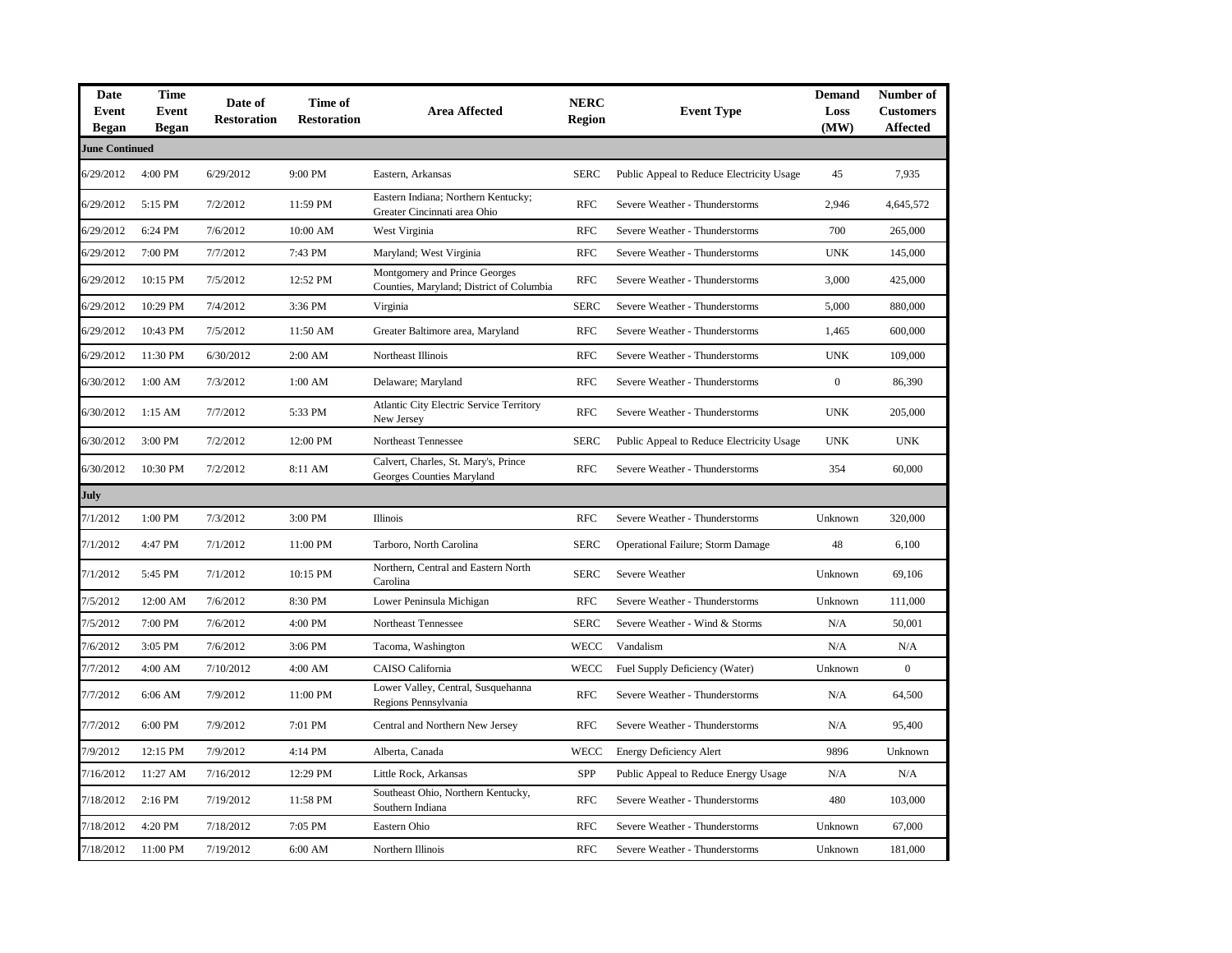| Date<br>Event<br>Began | <b>Time</b><br>Event<br><b>Began</b> | Date of<br><b>Restoration</b> | Time of<br><b>Restoration</b> | <b>Area Affected</b>                                                      | <b>NERC</b><br><b>Region</b> | <b>Event Type</b>                         | <b>Demand</b><br>Loss<br>(MW) | Number of<br><b>Customers</b><br><b>Affected</b> |
|------------------------|--------------------------------------|-------------------------------|-------------------------------|---------------------------------------------------------------------------|------------------------------|-------------------------------------------|-------------------------------|--------------------------------------------------|
| <b>June Continued</b>  |                                      |                               |                               |                                                                           |                              |                                           |                               |                                                  |
| 6/29/2012              | 4:00 PM                              | 6/29/2012                     | 9:00 PM                       | Eastern, Arkansas                                                         | <b>SERC</b>                  | Public Appeal to Reduce Electricity Usage | 45                            | 7,935                                            |
| 6/29/2012              | 5:15 PM                              | 7/2/2012                      | 11:59 PM                      | Eastern Indiana; Northern Kentucky;<br>Greater Cincinnati area Ohio       | <b>RFC</b>                   | Severe Weather - Thunderstorms            | 2,946                         | 4,645,572                                        |
| 6/29/2012              | 6:24 PM                              | 7/6/2012                      | 10:00 AM                      | West Virginia                                                             | <b>RFC</b>                   | Severe Weather - Thunderstorms            | 700                           | 265,000                                          |
| 6/29/2012              | 7:00 PM                              | 7/7/2012                      | 7:43 PM                       | Maryland; West Virginia                                                   | <b>RFC</b>                   | Severe Weather - Thunderstorms            | <b>UNK</b>                    | 145,000                                          |
| 6/29/2012              | 10:15 PM                             | 7/5/2012                      | 12:52 PM                      | Montgomery and Prince Georges<br>Counties, Maryland; District of Columbia | <b>RFC</b>                   | Severe Weather - Thunderstorms            | 3,000                         | 425,000                                          |
| 6/29/2012              | 10:29 PM                             | 7/4/2012                      | 3:36 PM                       | Virginia                                                                  | <b>SERC</b>                  | Severe Weather - Thunderstorms            | 5,000                         | 880,000                                          |
| 6/29/2012              | 10:43 PM                             | 7/5/2012                      | 11:50 AM                      | Greater Baltimore area, Maryland                                          | <b>RFC</b>                   | Severe Weather - Thunderstorms            | 1,465                         | 600,000                                          |
| 6/29/2012              | 11:30 PM                             | 6/30/2012                     | 2:00 AM                       | Northeast Illinois                                                        | <b>RFC</b>                   | Severe Weather - Thunderstorms            | <b>UNK</b>                    | 109,000                                          |
| 6/30/2012              | 1:00 AM                              | 7/3/2012                      | 1:00 AM                       | Delaware; Maryland                                                        | <b>RFC</b>                   | Severe Weather - Thunderstorms            | $\boldsymbol{0}$              | 86,390                                           |
| 6/30/2012              | 1:15 AM                              | 7/7/2012                      | 5:33 PM                       | Atlantic City Electric Service Territory<br>New Jersey                    | <b>RFC</b>                   | Severe Weather - Thunderstorms            | <b>UNK</b>                    | 205,000                                          |
| 6/30/2012              | 3:00 PM                              | 7/2/2012                      | 12:00 PM                      | Northeast Tennessee                                                       | <b>SERC</b>                  | Public Appeal to Reduce Electricity Usage | <b>UNK</b>                    | <b>UNK</b>                                       |
| 6/30/2012              | 10:30 PM                             | 7/2/2012                      | 8:11 AM                       | Calvert, Charles, St. Mary's, Prince<br>Georges Counties Maryland         | <b>RFC</b>                   | Severe Weather - Thunderstorms            | 354                           | 60,000                                           |
| July                   |                                      |                               |                               |                                                                           |                              |                                           |                               |                                                  |
| 7/1/2012               | 1:00 PM                              | 7/3/2012                      | 3:00 PM                       | <b>Illinois</b>                                                           | <b>RFC</b>                   | Severe Weather - Thunderstorms            | Unknown                       | 320,000                                          |
| 7/1/2012               | 4:47 PM                              | 7/1/2012                      | 11:00 PM                      | Tarboro, North Carolina                                                   | <b>SERC</b>                  | <b>Operational Failure; Storm Damage</b>  | 48                            | 6,100                                            |
| 7/1/2012               | 5:45 PM                              | 7/1/2012                      | 10:15 PM                      | Northern, Central and Eastern North<br>Carolina                           | <b>SERC</b>                  | Severe Weather                            | Unknown                       | 69,106                                           |
| 7/5/2012               | 12:00 AM                             | 7/6/2012                      | 8:30 PM                       | Lower Peninsula Michigan                                                  | <b>RFC</b>                   | Severe Weather - Thunderstorms            | Unknown                       | 111,000                                          |
| 7/5/2012               | 7:00 PM                              | 7/6/2012                      | 4:00 PM                       | Northeast Tennessee                                                       | <b>SERC</b>                  | Severe Weather - Wind & Storms            | N/A                           | 50,001                                           |
| 7/6/2012               | 3:05 PM                              | 7/6/2012                      | 3:06 PM                       | Tacoma, Washington                                                        | <b>WECC</b>                  | Vandalism                                 | N/A                           | N/A                                              |
| 7/7/2012               | 4:00 AM                              | 7/10/2012                     | 4:00 AM                       | CAISO California                                                          | <b>WECC</b>                  | Fuel Supply Deficiency (Water)            | Unknown                       | $\boldsymbol{0}$                                 |
| 7/7/2012               | 6:06 AM                              | 7/9/2012                      | 11:00 PM                      | Lower Valley, Central, Susquehanna<br>Regions Pennsylvania                | <b>RFC</b>                   | Severe Weather - Thunderstorms            | N/A                           | 64,500                                           |
| 7/7/2012               | 6:00 PM                              | 7/9/2012                      | 7:01 PM                       | Central and Northern New Jersey                                           | <b>RFC</b>                   | Severe Weather - Thunderstorms            | N/A                           | 95,400                                           |
| 7/9/2012               | 12:15 PM                             | 7/9/2012                      | 4:14 PM                       | Alberta, Canada                                                           | <b>WECC</b>                  | <b>Energy Deficiency Alert</b>            | 9896                          | Unknown                                          |
| 7/16/2012              | 11:27 AM                             | 7/16/2012                     | 12:29 PM                      | Little Rock, Arkansas                                                     | SPP                          | Public Appeal to Reduce Energy Usage      | N/A                           | N/A                                              |
| 7/18/2012              | 2:16 PM                              | 7/19/2012                     | 11:58 PM                      | Southeast Ohio, Northern Kentucky,<br>Southern Indiana                    | <b>RFC</b>                   | Severe Weather - Thunderstorms            | 480                           | 103,000                                          |
| 7/18/2012              | 4:20 PM                              | 7/18/2012                     | 7:05 PM                       | Eastern Ohio                                                              | <b>RFC</b>                   | Severe Weather - Thunderstorms            | Unknown                       | 67,000                                           |
| 7/18/2012              | 11:00 PM                             | 7/19/2012                     | 6:00 AM                       | Northern Illinois                                                         | <b>RFC</b>                   | Severe Weather - Thunderstorms            | Unknown                       | 181,000                                          |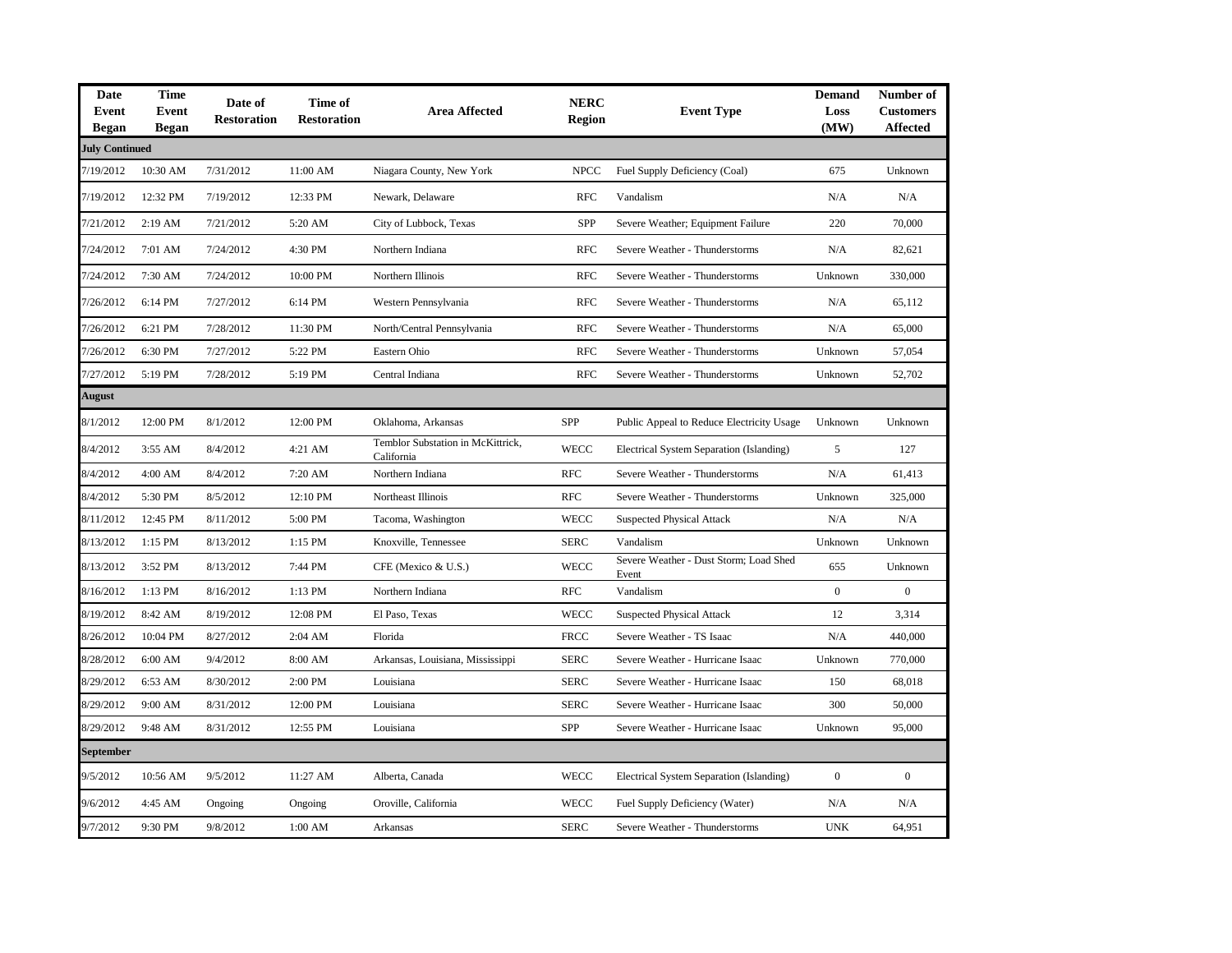| Date<br>Event<br><b>Began</b> | <b>Time</b><br>Event<br><b>Began</b> | Date of<br><b>Restoration</b> | Time of<br><b>Restoration</b> | <b>Area Affected</b>                            | <b>NERC</b><br><b>Region</b> | <b>Event Type</b>                               | <b>Demand</b><br>Loss<br>(MW) | Number of<br><b>Customers</b><br><b>Affected</b> |
|-------------------------------|--------------------------------------|-------------------------------|-------------------------------|-------------------------------------------------|------------------------------|-------------------------------------------------|-------------------------------|--------------------------------------------------|
| <b>July Continued</b>         |                                      |                               |                               |                                                 |                              |                                                 |                               |                                                  |
| 7/19/2012                     | 10:30 AM                             | 7/31/2012                     | 11:00 AM                      | Niagara County, New York                        | <b>NPCC</b>                  | Fuel Supply Deficiency (Coal)                   | 675                           | Unknown                                          |
| 7/19/2012                     | 12:32 PM                             | 7/19/2012                     | 12:33 PM                      | Newark, Delaware                                | <b>RFC</b>                   | Vandalism                                       | N/A                           | N/A                                              |
| 7/21/2012                     | 2:19 AM                              | 7/21/2012                     | 5:20 AM                       | City of Lubbock, Texas                          | <b>SPP</b>                   | Severe Weather; Equipment Failure               | 220                           | 70,000                                           |
| 7/24/2012                     | 7:01 AM                              | 7/24/2012                     | 4:30 PM                       | Northern Indiana                                | <b>RFC</b>                   | Severe Weather - Thunderstorms                  | N/A                           | 82,621                                           |
| 7/24/2012                     | 7:30 AM                              | 7/24/2012                     | 10:00 PM                      | Northern Illinois                               | <b>RFC</b>                   | Severe Weather - Thunderstorms                  | Unknown                       | 330,000                                          |
| 7/26/2012                     | 6:14 PM                              | 7/27/2012                     | 6:14 PM                       | Western Pennsylvania                            | <b>RFC</b>                   | Severe Weather - Thunderstorms                  | N/A                           | 65,112                                           |
| 7/26/2012                     | 6:21 PM                              | 7/28/2012                     | 11:30 PM                      | North/Central Pennsylvania                      | <b>RFC</b>                   | Severe Weather - Thunderstorms                  | N/A                           | 65,000                                           |
| 7/26/2012                     | 6:30 PM                              | 7/27/2012                     | 5:22 PM                       | Eastern Ohio                                    | <b>RFC</b>                   | Severe Weather - Thunderstorms                  | Unknown                       | 57,054                                           |
| 7/27/2012                     | 5:19 PM                              | 7/28/2012                     | 5:19 PM                       | Central Indiana                                 | <b>RFC</b>                   | Severe Weather - Thunderstorms                  | Unknown                       | 52,702                                           |
| August                        |                                      |                               |                               |                                                 |                              |                                                 |                               |                                                  |
| 8/1/2012                      | 12:00 PM                             | 8/1/2012                      | 12:00 PM                      | Oklahoma, Arkansas                              | <b>SPP</b>                   | Public Appeal to Reduce Electricity Usage       | Unknown                       | Unknown                                          |
| 8/4/2012                      | 3:55 AM                              | 8/4/2012                      | 4:21 AM                       | Temblor Substation in McKittrick,<br>California | <b>WECC</b>                  | Electrical System Separation (Islanding)        | 5                             | 127                                              |
| 8/4/2012                      | 4:00 AM                              | 8/4/2012                      | 7:20 AM                       | Northern Indiana                                | <b>RFC</b>                   | Severe Weather - Thunderstorms                  | N/A                           | 61,413                                           |
| 8/4/2012                      | 5:30 PM                              | 8/5/2012                      | 12:10 PM                      | Northeast Illinois                              | <b>RFC</b>                   | Severe Weather - Thunderstorms                  | Unknown                       | 325,000                                          |
| 8/11/2012                     | 12:45 PM                             | 8/11/2012                     | 5:00 PM                       | Tacoma, Washington                              | <b>WECC</b>                  | <b>Suspected Physical Attack</b>                | N/A                           | N/A                                              |
| 8/13/2012                     | 1:15 PM                              | 8/13/2012                     | 1:15 PM                       | Knoxville, Tennessee                            | <b>SERC</b>                  | Vandalism                                       | Unknown                       | Unknown                                          |
| 8/13/2012                     | 3:52 PM                              | 8/13/2012                     | 7:44 PM                       | CFE (Mexico & U.S.)                             | WECC                         | Severe Weather - Dust Storm; Load Shed<br>Event | 655                           | Unknown                                          |
| 8/16/2012                     | 1:13 PM                              | 8/16/2012                     | 1:13 PM                       | Northern Indiana                                | <b>RFC</b>                   | Vandalism                                       | $\overline{0}$                | $\mathbf{0}$                                     |
| 8/19/2012                     | 8:42 AM                              | 8/19/2012                     | 12:08 PM                      | El Paso, Texas                                  | <b>WECC</b>                  | <b>Suspected Physical Attack</b>                | 12                            | 3,314                                            |
| 8/26/2012                     | 10:04 PM                             | 8/27/2012                     | 2:04 AM                       | Florida                                         | <b>FRCC</b>                  | Severe Weather - TS Isaac                       | N/A                           | 440,000                                          |
| 8/28/2012                     | 6:00 AM                              | 9/4/2012                      | 8:00 AM                       | Arkansas, Louisiana, Mississippi                | <b>SERC</b>                  | Severe Weather - Hurricane Isaac                | Unknown                       | 770,000                                          |
| 8/29/2012                     | 6:53 AM                              | 8/30/2012                     | 2:00 PM                       | Louisiana                                       | <b>SERC</b>                  | Severe Weather - Hurricane Isaac                | 150                           | 68,018                                           |
| 8/29/2012                     | 9:00 AM                              | 8/31/2012                     | 12:00 PM                      | Louisiana                                       | <b>SERC</b>                  | Severe Weather - Hurricane Isaac                | 300                           | 50,000                                           |
| 8/29/2012                     | 9:48 AM                              | 8/31/2012                     | 12:55 PM                      | Louisiana                                       | SPP                          | Severe Weather - Hurricane Isaac                | Unknown                       | 95,000                                           |
| September                     |                                      |                               |                               |                                                 |                              |                                                 |                               |                                                  |
| 9/5/2012                      | 10:56 AM                             | 9/5/2012                      | 11:27 AM                      | Alberta, Canada                                 | <b>WECC</b>                  | Electrical System Separation (Islanding)        | $\boldsymbol{0}$              | $\mathbf{0}$                                     |
| 9/6/2012                      | 4:45 AM                              | Ongoing                       | Ongoing                       | Oroville, California                            | <b>WECC</b>                  | Fuel Supply Deficiency (Water)                  | N/A                           | N/A                                              |
| 9/7/2012                      | 9:30 PM                              | 9/8/2012                      | 1:00 AM                       | Arkansas                                        | <b>SERC</b>                  | Severe Weather - Thunderstorms                  | <b>UNK</b>                    | 64,951                                           |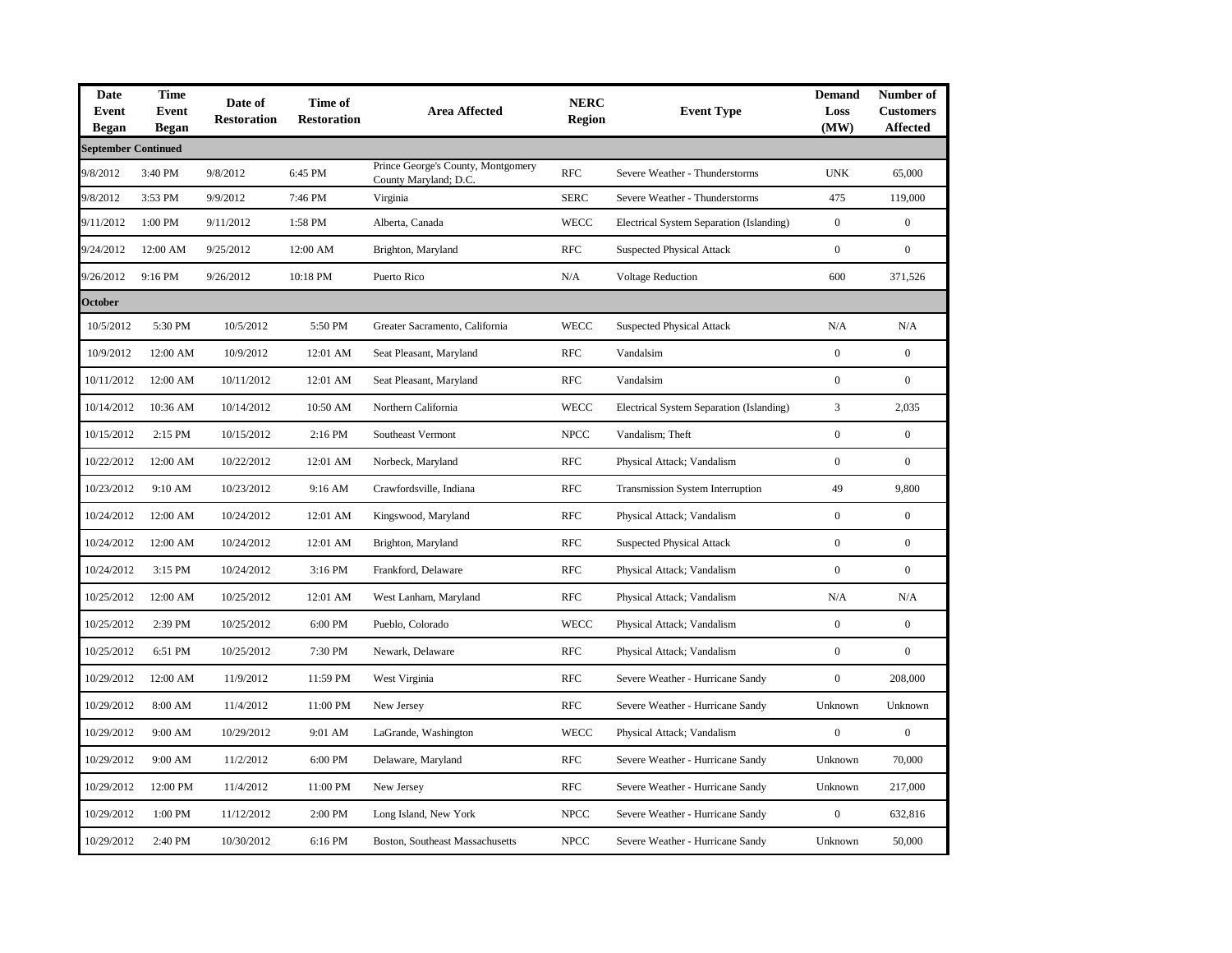| <b>Date</b><br>Event<br><b>Began</b> | <b>Time</b><br>Event<br><b>Began</b> | Date of<br><b>Restoration</b> | Time of<br><b>Restoration</b> | <b>Area Affected</b>                                        | <b>NERC</b><br>Region | <b>Event Type</b>                        | <b>Demand</b><br>Loss<br>(MW) | Number of<br><b>Customers</b><br><b>Affected</b> |
|--------------------------------------|--------------------------------------|-------------------------------|-------------------------------|-------------------------------------------------------------|-----------------------|------------------------------------------|-------------------------------|--------------------------------------------------|
| <b>September Continued</b>           |                                      |                               |                               |                                                             |                       |                                          |                               |                                                  |
| 9/8/2012                             | 3:40 PM                              | 9/8/2012                      | 6:45 PM                       | Prince George's County, Montgomery<br>County Maryland; D.C. | <b>RFC</b>            | Severe Weather - Thunderstorms           | <b>UNK</b>                    | 65,000                                           |
| 9/8/2012                             | 3:53 PM                              | 9/9/2012                      | 7:46 PM                       | Virginia                                                    | <b>SERC</b>           | Severe Weather - Thunderstorms           | 475                           | 119,000                                          |
| 9/11/2012                            | 1:00 PM                              | 9/11/2012                     | 1:58 PM                       | Alberta, Canada                                             | <b>WECC</b>           | Electrical System Separation (Islanding) | $\boldsymbol{0}$              | $\boldsymbol{0}$                                 |
| 9/24/2012                            | 12:00 AM                             | 9/25/2012                     | 12:00 AM                      | Brighton, Maryland                                          | <b>RFC</b>            | <b>Suspected Physical Attack</b>         | $\boldsymbol{0}$              | $\boldsymbol{0}$                                 |
| 9/26/2012                            | 9:16 PM                              | 9/26/2012                     | 10:18 PM                      | Puerto Rico                                                 | N/A                   | <b>Voltage Reduction</b>                 | 600                           | 371.526                                          |
| <b>October</b>                       |                                      |                               |                               |                                                             |                       |                                          |                               |                                                  |
| 10/5/2012                            | 5:30 PM                              | 10/5/2012                     | 5:50 PM                       | Greater Sacramento, California                              | <b>WECC</b>           | <b>Suspected Physical Attack</b>         | N/A                           | N/A                                              |
| 10/9/2012                            | 12:00 AM                             | 10/9/2012                     | 12:01 AM                      | Seat Pleasant, Maryland                                     | <b>RFC</b>            | Vandalsim                                | $\boldsymbol{0}$              | $\mathbf{0}$                                     |
| 10/11/2012                           | 12:00 AM                             | 10/11/2012                    | 12:01 AM                      | Seat Pleasant, Maryland                                     | <b>RFC</b>            | Vandalsim                                | $\mathbf{0}$                  | $\Omega$                                         |
| 10/14/2012                           | 10:36 AM                             | 10/14/2012                    | 10:50 AM                      | Northern California                                         | <b>WECC</b>           | Electrical System Separation (Islanding) | $\mathfrak{Z}$                | 2,035                                            |
| 10/15/2012                           | 2:15 PM                              | 10/15/2012                    | 2:16 PM                       | Southeast Vermont                                           | <b>NPCC</b>           | Vandalism; Theft                         | $\boldsymbol{0}$              | $\mathbf{0}$                                     |
| 10/22/2012                           | 12:00 AM                             | 10/22/2012                    | 12:01 AM                      | Norbeck, Maryland                                           | <b>RFC</b>            | Physical Attack; Vandalism               | $\boldsymbol{0}$              | $\boldsymbol{0}$                                 |
| 10/23/2012                           | 9:10 AM                              | 10/23/2012                    | 9:16 AM                       | Crawfordsville, Indiana                                     | <b>RFC</b>            | <b>Transmission System Interruption</b>  | 49                            | 9,800                                            |
| 10/24/2012                           | 12:00 AM                             | 10/24/2012                    | 12:01 AM                      | Kingswood, Maryland                                         | <b>RFC</b>            | Physical Attack; Vandalism               | $\boldsymbol{0}$              | $\mathbf{0}$                                     |
| 10/24/2012                           | 12:00 AM                             | 10/24/2012                    | 12:01 AM                      | Brighton, Maryland                                          | <b>RFC</b>            | <b>Suspected Physical Attack</b>         | $\boldsymbol{0}$              | $\boldsymbol{0}$                                 |
| 10/24/2012                           | 3:15 PM                              | 10/24/2012                    | 3:16 PM                       | Frankford, Delaware                                         | <b>RFC</b>            | Physical Attack; Vandalism               | $\mathbf{0}$                  | $\overline{0}$                                   |
| 10/25/2012                           | 12:00 AM                             | 10/25/2012                    | 12:01 AM                      | West Lanham, Maryland                                       | <b>RFC</b>            | Physical Attack; Vandalism               | N/A                           | N/A                                              |
| 10/25/2012                           | 2:39 PM                              | 10/25/2012                    | 6:00 PM                       | Pueblo, Colorado                                            | <b>WECC</b>           | Physical Attack; Vandalism               | $\boldsymbol{0}$              | $\mathbf{0}$                                     |
| 10/25/2012                           | 6:51 PM                              | 10/25/2012                    | 7:30 PM                       | Newark, Delaware                                            | <b>RFC</b>            | Physical Attack; Vandalism               | $\boldsymbol{0}$              | $\boldsymbol{0}$                                 |
| 10/29/2012                           | 12:00 AM                             | 11/9/2012                     | 11:59 PM                      | West Virginia                                               | <b>RFC</b>            | Severe Weather - Hurricane Sandy         | $\boldsymbol{0}$              | 208,000                                          |
| 10/29/2012                           | 8:00 AM                              | 11/4/2012                     | 11:00 PM                      | New Jersey                                                  | <b>RFC</b>            | Severe Weather - Hurricane Sandy         | Unknown                       | Unknown                                          |
| 10/29/2012                           | 9:00 AM                              | 10/29/2012                    | 9:01 AM                       | LaGrande, Washington                                        | <b>WECC</b>           | Physical Attack; Vandalism               | $\overline{0}$                | $\mathbf{0}$                                     |
| 10/29/2012                           | 9:00 AM                              | 11/2/2012                     | 6:00 PM                       | Delaware, Maryland                                          | <b>RFC</b>            | Severe Weather - Hurricane Sandy         | Unknown                       | 70,000                                           |
| 10/29/2012                           | 12:00 PM                             | 11/4/2012                     | 11:00 PM                      | New Jersey                                                  | <b>RFC</b>            | Severe Weather - Hurricane Sandy         | Unknown                       | 217,000                                          |
| 10/29/2012                           | 1:00 PM                              | 11/12/2012                    | 2:00 PM                       | Long Island, New York                                       | <b>NPCC</b>           | Severe Weather - Hurricane Sandy         | $\mathbf{0}$                  | 632,816                                          |
| 10/29/2012                           | 2:40 PM                              | 10/30/2012                    | 6:16 PM                       | Boston, Southeast Massachusetts                             | <b>NPCC</b>           | Severe Weather - Hurricane Sandy         | Unknown                       | 50,000                                           |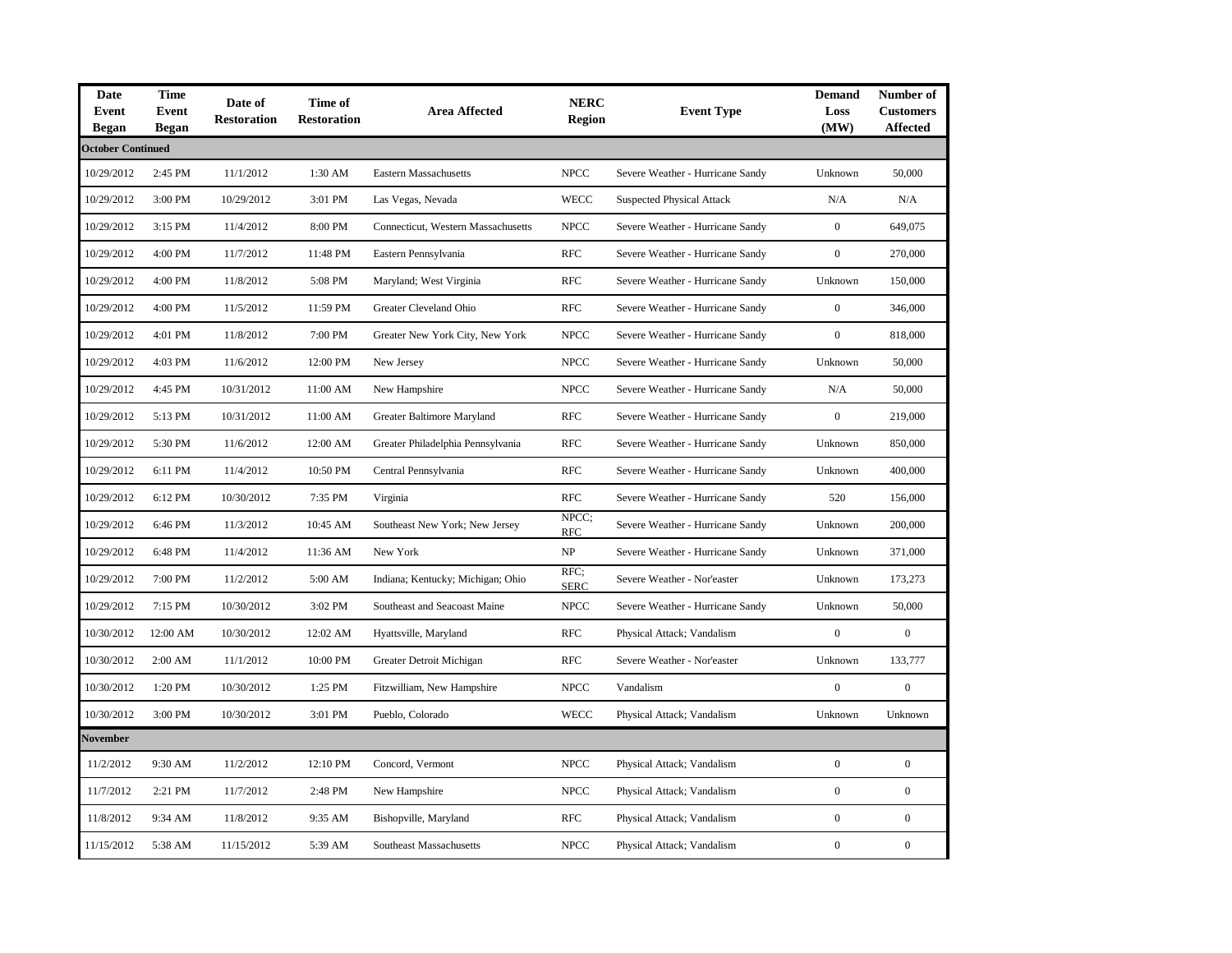| Date<br>Event<br><b>Began</b> | <b>Time</b><br><b>Event</b><br><b>Began</b> | Date of<br><b>Restoration</b> | Time of<br><b>Restoration</b> | <b>Area Affected</b>               | <b>NERC</b><br><b>Region</b> | <b>Event Type</b>                | <b>Demand</b><br>Loss<br>(MW) | Number of<br><b>Customers</b><br><b>Affected</b> |
|-------------------------------|---------------------------------------------|-------------------------------|-------------------------------|------------------------------------|------------------------------|----------------------------------|-------------------------------|--------------------------------------------------|
| <b>October Continued</b>      |                                             |                               |                               |                                    |                              |                                  |                               |                                                  |
| 10/29/2012                    | 2:45 PM                                     | 11/1/2012                     | 1:30 AM                       | <b>Eastern Massachusetts</b>       | <b>NPCC</b>                  | Severe Weather - Hurricane Sandy | Unknown                       | 50,000                                           |
| 10/29/2012                    | 3:00 PM                                     | 10/29/2012                    | 3:01 PM                       | Las Vegas, Nevada                  | <b>WECC</b>                  | <b>Suspected Physical Attack</b> | N/A                           | N/A                                              |
| 10/29/2012                    | 3:15 PM                                     | 11/4/2012                     | 8:00 PM                       | Connecticut, Western Massachusetts | <b>NPCC</b>                  | Severe Weather - Hurricane Sandy | $\overline{0}$                | 649,075                                          |
| 10/29/2012                    | 4:00 PM                                     | 11/7/2012                     | 11:48 PM                      | Eastern Pennsylvania               | <b>RFC</b>                   | Severe Weather - Hurricane Sandy | $\overline{0}$                | 270,000                                          |
| 10/29/2012                    | 4:00 PM                                     | 11/8/2012                     | 5:08 PM                       | Maryland; West Virginia            | <b>RFC</b>                   | Severe Weather - Hurricane Sandy | Unknown                       | 150,000                                          |
| 10/29/2012                    | 4:00 PM                                     | 11/5/2012                     | 11:59 PM                      | Greater Cleveland Ohio             | <b>RFC</b>                   | Severe Weather - Hurricane Sandy | $\overline{0}$                | 346,000                                          |
| 10/29/2012                    | 4:01 PM                                     | 11/8/2012                     | 7:00 PM                       | Greater New York City, New York    | <b>NPCC</b>                  | Severe Weather - Hurricane Sandy | $\boldsymbol{0}$              | 818,000                                          |
| 10/29/2012                    | 4:03 PM                                     | 11/6/2012                     | 12:00 PM                      | New Jersey                         | <b>NPCC</b>                  | Severe Weather - Hurricane Sandy | Unknown                       | 50,000                                           |
| 10/29/2012                    | 4:45 PM                                     | 10/31/2012                    | 11:00 AM                      | New Hampshire                      | <b>NPCC</b>                  | Severe Weather - Hurricane Sandy | N/A                           | 50,000                                           |
| 10/29/2012                    | 5:13 PM                                     | 10/31/2012                    | 11:00 AM                      | Greater Baltimore Maryland         | <b>RFC</b>                   | Severe Weather - Hurricane Sandy | $\boldsymbol{0}$              | 219,000                                          |
| 10/29/2012                    | 5:30 PM                                     | 11/6/2012                     | 12:00 AM                      | Greater Philadelphia Pennsylvania  | RFC                          | Severe Weather - Hurricane Sandy | Unknown                       | 850,000                                          |
| 10/29/2012                    | 6:11 PM                                     | 11/4/2012                     | 10:50 PM                      | Central Pennsylvania               | <b>RFC</b>                   | Severe Weather - Hurricane Sandy | Unknown                       | 400,000                                          |
| 10/29/2012                    | 6:12 PM                                     | 10/30/2012                    | 7:35 PM                       | Virginia                           | RFC                          | Severe Weather - Hurricane Sandy | 520                           | 156,000                                          |
| 10/29/2012                    | 6:46 PM                                     | 11/3/2012                     | 10:45 AM                      | Southeast New York; New Jersey     | NPCC;<br><b>RFC</b>          | Severe Weather - Hurricane Sandy | Unknown                       | 200,000                                          |
| 10/29/2012                    | 6:48 PM                                     | 11/4/2012                     | 11:36 AM                      | New York                           | NP                           | Severe Weather - Hurricane Sandy | Unknown                       | 371,000                                          |
| 10/29/2012                    | 7:00 PM                                     | 11/2/2012                     | 5:00 AM                       | Indiana; Kentucky; Michigan; Ohio  | RFC;<br><b>SERC</b>          | Severe Weather - Nor'easter      | Unknown                       | 173,273                                          |
| 10/29/2012                    | 7:15 PM                                     | 10/30/2012                    | 3:02 PM                       | Southeast and Seacoast Maine       | <b>NPCC</b>                  | Severe Weather - Hurricane Sandy | Unknown                       | 50,000                                           |
| 10/30/2012                    | 12:00 AM                                    | 10/30/2012                    | 12:02 AM                      | Hyattsville, Maryland              | <b>RFC</b>                   | Physical Attack; Vandalism       | $\overline{0}$                | $\overline{0}$                                   |
| 10/30/2012                    | 2:00 AM                                     | 11/1/2012                     | 10:00 PM                      | Greater Detroit Michigan           | <b>RFC</b>                   | Severe Weather - Nor'easter      | Unknown                       | 133,777                                          |
| 10/30/2012                    | 1:20 PM                                     | 10/30/2012                    | 1:25 PM                       | Fitzwilliam, New Hampshire         | <b>NPCC</b>                  | Vandalism                        | $\boldsymbol{0}$              | $\boldsymbol{0}$                                 |
| 10/30/2012                    | 3:00 PM                                     | 10/30/2012                    | 3:01 PM                       | Pueblo, Colorado                   | <b>WECC</b>                  | Physical Attack; Vandalism       | Unknown                       | Unknown                                          |
| November                      |                                             |                               |                               |                                    |                              |                                  |                               |                                                  |
| 11/2/2012                     | 9:30 AM                                     | 11/2/2012                     | 12:10 PM                      | Concord, Vermont                   | <b>NPCC</b>                  | Physical Attack; Vandalism       | $\boldsymbol{0}$              | $\boldsymbol{0}$                                 |
| 11/7/2012                     | 2:21 PM                                     | 11/7/2012                     | 2:48 PM                       | New Hampshire                      | <b>NPCC</b>                  | Physical Attack; Vandalism       | $\overline{0}$                | $\overline{0}$                                   |
| 11/8/2012                     | 9:34 AM                                     | 11/8/2012                     | 9:35 AM                       | Bishopville, Maryland              | <b>RFC</b>                   | Physical Attack; Vandalism       | $\overline{0}$                | $\mathbf 0$                                      |
| 11/15/2012                    | 5:38 AM                                     | 11/15/2012                    | 5:39 AM                       | Southeast Massachusetts            | <b>NPCC</b>                  | Physical Attack; Vandalism       | $\boldsymbol{0}$              | $\boldsymbol{0}$                                 |